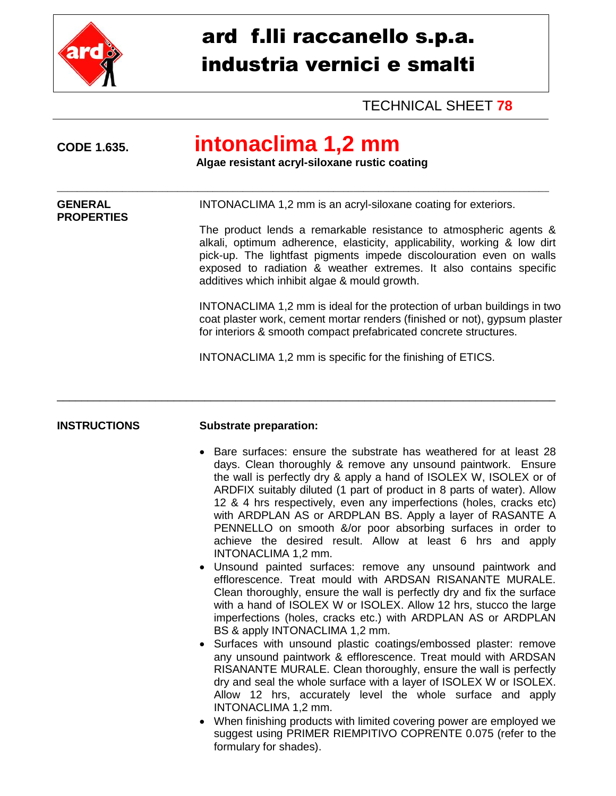

# ard f.lli raccanello s.p.a. industria vernici e smalti

### TECHNICAL SHEET **78**

**PROPERTIES**

## **CODE 1.635. intonaclima 1,2 mm**

\_\_\_\_\_\_\_\_\_\_\_\_\_\_\_\_\_\_\_\_\_\_\_\_\_\_\_\_\_\_\_\_\_\_\_\_\_\_\_\_\_\_\_\_\_\_\_\_\_\_\_\_\_\_\_\_\_\_\_\_\_\_\_\_\_\_\_\_\_\_\_\_\_\_\_\_\_\_\_\_\_\_\_\_\_\_\_\_\_\_\_\_\_\_\_\_\_\_

\_\_\_\_\_\_\_\_\_\_\_\_\_\_\_\_\_\_\_\_\_\_\_\_\_\_\_\_\_\_\_\_\_\_\_\_\_\_\_\_\_\_\_\_\_\_\_\_\_\_\_\_\_\_\_\_\_\_\_\_\_\_\_\_\_\_\_\_\_\_\_\_\_\_\_\_\_\_\_\_\_

 **Algae resistant acryl-siloxane rustic coating**

**GENERAL** INTONACLIMA 1,2 mm is an acryl-siloxane coating for exteriors.

The product lends a remarkable resistance to atmospheric agents & alkali, optimum adherence, elasticity, applicability, working & low dirt pick-up. The lightfast pigments impede discolouration even on walls exposed to radiation & weather extremes. It also contains specific additives which inhibit algae & mould growth.

INTONACLIMA 1,2 mm is ideal for the protection of urban buildings in two coat plaster work, cement mortar renders (finished or not), gypsum plaster for interiors & smooth compact prefabricated concrete structures.

INTONACLIMA 1,2 mm is specific for the finishing of ETICS.

#### **INSTRUCTIONS Substrate preparation:**

- Bare surfaces: ensure the substrate has weathered for at least 28 days. Clean thoroughly & remove any unsound paintwork. Ensure the wall is perfectly dry & apply a hand of ISOLEX W, ISOLEX or of ARDFIX suitably diluted (1 part of product in 8 parts of water). Allow 12 & 4 hrs respectively, even any imperfections (holes, cracks etc) with ARDPLAN AS or ARDPLAN BS. Apply a layer of RASANTE A PENNELLO on smooth &/or poor absorbing surfaces in order to achieve the desired result. Allow at least 6 hrs and apply INTONACLIMA 1,2 mm.
- Unsound painted surfaces: remove any unsound paintwork and efflorescence. Treat mould with ARDSAN RISANANTE MURALE. Clean thoroughly, ensure the wall is perfectly dry and fix the surface with a hand of ISOLEX W or ISOLEX. Allow 12 hrs, stucco the large imperfections (holes, cracks etc.) with ARDPLAN AS or ARDPLAN BS & apply INTONACLIMA 1,2 mm.
- Surfaces with unsound plastic coatings/embossed plaster: remove any unsound paintwork & efflorescence. Treat mould with ARDSAN RISANANTE MURALE. Clean thoroughly, ensure the wall is perfectly dry and seal the whole surface with a layer of ISOLEX W or ISOLEX. Allow 12 hrs, accurately level the whole surface and apply INTONACLIMA 1,2 mm.
- When finishing products with limited covering power are employed we suggest using PRIMER RIEMPITIVO COPRENTE 0.075 (refer to the formulary for shades).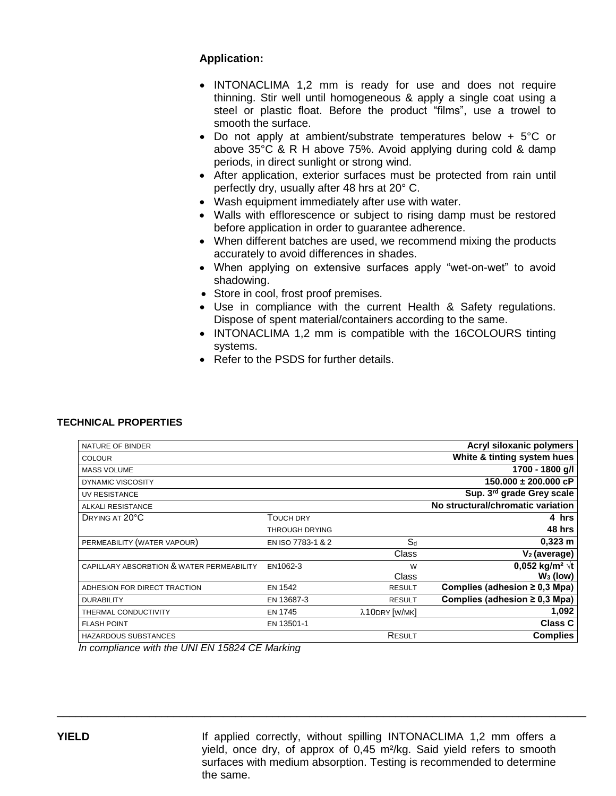#### **Application:**

- INTONACLIMA 1,2 mm is ready for use and does not require thinning. Stir well until homogeneous & apply a single coat using a steel or plastic float. Before the product "films", use a trowel to smooth the surface.
- Do not apply at ambient/substrate temperatures below + 5°C or above 35°C & R H above 75%. Avoid applying during cold & damp periods, in direct sunlight or strong wind.
- After application, exterior surfaces must be protected from rain until perfectly dry, usually after 48 hrs at 20° C.
- Wash equipment immediately after use with water.
- Walls with efflorescence or subject to rising damp must be restored before application in order to guarantee adherence.
- When different batches are used, we recommend mixing the products accurately to avoid differences in shades.
- When applying on extensive surfaces apply "wet-on-wet" to avoid shadowing.
- Store in cool, frost proof premises.
- Use in compliance with the current Health & Safety regulations. Dispose of spent material/containers according to the same.
- INTONACLIMA 1,2 mm is compatible with the 16COLOURS tinting systems.
- Refer to the PSDS for further details.

#### **TECHNICAL PROPERTIES**

|                   |               | Acryl siloxanic polymers           |
|-------------------|---------------|------------------------------------|
|                   |               | White & tinting system hues        |
|                   |               | 1700 - 1800 g/l                    |
|                   |               | $150.000 \pm 200.000$ cP           |
|                   |               | Sup. 3rd grade Grey scale          |
|                   |               | No structural/chromatic variation  |
| <b>TOUCH DRY</b>  |               | 4 hrs                              |
| THROUGH DRYING    |               | 48 hrs                             |
| EN ISO 7783-1 & 2 | $S_d$         | $0,323$ m                          |
|                   | Class         | $V2$ (average)                     |
| EN1062-3          | W             | 0,052 kg/m <sup>2</sup> $\sqrt{t}$ |
|                   | Class         | $W_3$ (low)                        |
| <b>EN 1542</b>    | <b>RESULT</b> | Complies (adhesion $\geq$ 0,3 Mpa) |
| EN 13687-3        | <b>RESULT</b> | Complies (adhesion $\geq$ 0,3 Mpa) |
| <b>EN 1745</b>    | λ10DRY [W/MK] | 1,092                              |
| EN 13501-1        |               | <b>Class C</b>                     |
|                   | RESULT        | <b>Complies</b>                    |
|                   |               |                                    |

\_\_\_\_\_\_\_\_\_\_\_\_\_\_\_\_\_\_\_\_\_\_\_\_\_\_\_\_\_\_\_\_\_\_\_\_\_\_\_\_\_\_\_\_\_\_\_\_\_\_\_\_\_\_\_\_\_\_\_\_\_\_\_\_\_\_\_\_\_\_\_\_\_\_\_\_\_\_\_\_\_\_\_\_\_\_

*In compliance with the UNI EN 15824 CE Marking*

**YIELD** If applied correctly, without spilling INTONACLIMA 1,2 mm offers a yield, once dry, of approx of 0,45 m²/kg. Said yield refers to smooth surfaces with medium absorption. Testing is recommended to determine the same.